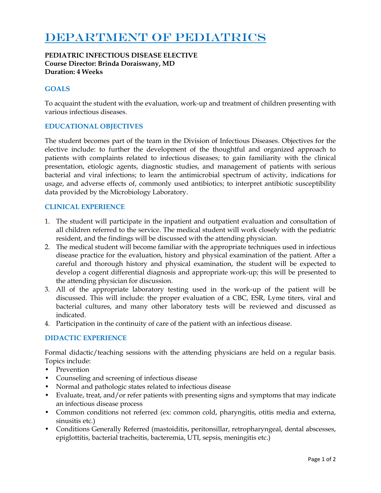# DEPARTMENT OF PEDIATRICS

#### **PEDIATRIC INFECTIOUS DISEASE ELECTIVE Course Director: Brinda Doraiswany, MD Duration: 4 Weeks**

# **GOALS**

To acquaint the student with the evaluation, work-up and treatment of children presenting with various infectious diseases.

## **EDUCATIONAL OBJECTIVES**

The student becomes part of the team in the Division of Infectious Diseases. Objectives for the elective include: to further the development of the thoughtful and organized approach to patients with complaints related to infectious diseases; to gain familiarity with the clinical presentation, etiologic agents, diagnostic studies, and management of patients with serious bacterial and viral infections; to learn the antimicrobial spectrum of activity, indications for usage, and adverse effects of, commonly used antibiotics; to interpret antibiotic susceptibility data provided by the Microbiology Laboratory.

## **CLINICAL EXPERIENCE**

- 1. The student will participate in the inpatient and outpatient evaluation and consultation of all children referred to the service. The medical student will work closely with the pediatric resident, and the findings will be discussed with the attending physician.
- 2. The medical student will become familiar with the appropriate techniques used in infectious disease practice for the evaluation, history and physical examination of the patient. After a careful and thorough history and physical examination, the student will be expected to develop a cogent differential diagnosis and appropriate work-up; this will be presented to the attending physician for discussion.
- 3. All of the appropriate laboratory testing used in the work-up of the patient will be discussed. This will include: the proper evaluation of a CBC, ESR, Lyme titers, viral and bacterial cultures, and many other laboratory tests will be reviewed and discussed as indicated.
- 4. Participation in the continuity of care of the patient with an infectious disease.

#### **DIDACTIC EXPERIENCE**

Formal didactic/teaching sessions with the attending physicians are held on a regular basis. Topics include:

- **Prevention**
- Counseling and screening of infectious disease
- Normal and pathologic states related to infectious disease
- Evaluate, treat, and/or refer patients with presenting signs and symptoms that may indicate an infectious disease process
- Common conditions not referred (ex: common cold, pharyngitis, otitis media and externa, sinusitis etc.)
- Conditions Generally Referred (mastoiditis, peritonsillar, retropharyngeal, dental abscesses, epiglottitis, bacterial tracheitis, bacteremia, UTI, sepsis, meningitis etc.)